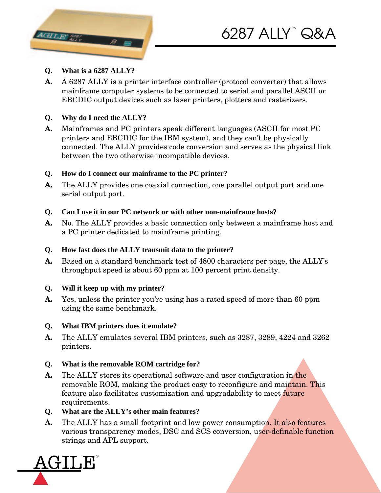

## **Q. What is a 6287 ALLY?**

**A.** A 6287 ALLY is a printer interface controller (protocol converter) that allows mainframe computer systems to be connected to serial and parallel ASCII or EBCDIC output devices such as laser printers, plotters and rasterizers.

## **Q. Why do I need the ALLY?**

**A.** Mainframes and PC printers speak different languages (ASCII for most PC printers and EBCDIC for the IBM system), and they can't be physically connected. The ALLY provides code conversion and serves as the physical link between the two otherwise incompatible devices.

## **Q. How do I connect our mainframe to the PC printer?**

**A.** The ALLY provides one coaxial connection, one parallel output port and one serial output port.

### **Q. Can I use it in our PC network or with other non-mainframe hosts?**

**A.** No. The ALLY provides a basic connection only between a mainframe host and a PC printer dedicated to mainframe printing.

### **Q. How fast does the ALLY transmit data to the printer?**

**A.** Based on a standard benchmark test of 4800 characters per page, the ALLY's throughput speed is about 60 ppm at 100 percent print density.

# **Q. Will it keep up with my printer?**

**A.** Yes, unless the printer you're using has a rated speed of more than 60 ppm using the same benchmark.

### **Q. What IBM printers does it emulate?**

**A.** The ALLY emulates several IBM printers, such as 3287, 3289, 4224 and 3262 printers.

# **Q. What is the removable ROM cartridge for?**

- **A.** The ALLY stores its operational software and user configuration in the removable ROM, making the product easy to reconfigure and maintain. This feature also facilitates customization and upgradability to meet future requirements.
- **Q. What are the ALLY's other main features?**
- **A.** The ALLY has a small footprint and low power consumption. It also features various transparency modes, DSC and SCS conversion, user-definable function strings and APL support.